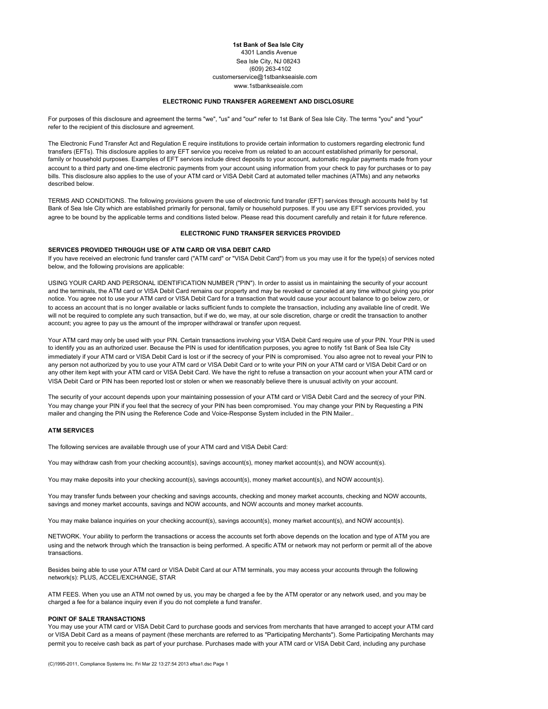# **1st Bank of Sea Isle City** 4301 Landis Avenue Sea Isle City, NJ 08243 (609) 263-4102 customerservice@1stbankseaisle.com www.1stbankseaisle.com

#### **ELECTRONIC FUND TRANSFER AGREEMENT AND DISCLOSURE**

For purposes of this disclosure and agreement the terms "we", "us" and "our" refer to 1st Bank of Sea Isle City. The terms "you" and "your" refer to the recipient of this disclosure and agreement.

The Electronic Fund Transfer Act and Regulation E require institutions to provide certain information to customers regarding electronic fund transfers (EFTs). This disclosure applies to any EFT service you receive from us related to an account established primarily for personal, family or household purposes. Examples of EFT services include direct deposits to your account, automatic regular payments made from your account to a third party and one-time electronic payments from your account using information from your check to pay for purchases or to pay bills. This disclosure also applies to the use of your ATM card or VISA Debit Card at automated teller machines (ATMs) and any networks described below.

TERMS AND CONDITIONS. The following provisions govern the use of electronic fund transfer (EFT) services through accounts held by 1st Bank of Sea Isle City which are established primarily for personal, family or household purposes. If you use any EFT services provided, you agree to be bound by the applicable terms and conditions listed below. Please read this document carefully and retain it for future reference.

### **ELECTRONIC FUND TRANSFER SERVICES PROVIDED**

### **SERVICES PROVIDED THROUGH USE OF ATM CARD OR VISA DEBIT CARD**

If you have received an electronic fund transfer card ("ATM card" or "VISA Debit Card") from us you may use it for the type(s) of services noted below, and the following provisions are applicable:

USING YOUR CARD AND PERSONAL IDENTIFICATION NUMBER ("PIN"). In order to assist us in maintaining the security of your account and the terminals, the ATM card or VISA Debit Card remains our property and may be revoked or canceled at any time without giving you prior notice. You agree not to use your ATM card or VISA Debit Card for a transaction that would cause your account balance to go below zero, or to access an account that is no longer available or lacks sufficient funds to complete the transaction, including any available line of credit. We will not be required to complete any such transaction, but if we do, we may, at our sole discretion, charge or credit the transaction to another account; you agree to pay us the amount of the improper withdrawal or transfer upon request.

Your ATM card may only be used with your PIN. Certain transactions involving your VISA Debit Card require use of your PIN. Your PIN is used to identify you as an authorized user. Because the PIN is used for identification purposes, you agree to notify 1st Bank of Sea Isle City immediately if your ATM card or VISA Debit Card is lost or if the secrecy of your PIN is compromised. You also agree not to reveal your PIN to any person not authorized by you to use your ATM card or VISA Debit Card or to write your PIN on your ATM card or VISA Debit Card or on any other item kept with your ATM card or VISA Debit Card. We have the right to refuse a transaction on your account when your ATM card or VISA Debit Card or PIN has been reported lost or stolen or when we reasonably believe there is unusual activity on your account.

The security of your account depends upon your maintaining possession of your ATM card or VISA Debit Card and the secrecy of your PIN. You may change your PIN if you feel that the secrecy of your PIN has been compromised. You may change your PIN by Requesting a PIN mailer and changing the PIN using the Reference Code and Voice-Response System included in the PIN Mailer..

# **ATM SERVICES**

The following services are available through use of your ATM card and VISA Debit Card:

You may withdraw cash from your checking account(s), savings account(s), money market account(s), and NOW account(s).

You may make deposits into your checking account(s), savings account(s), money market account(s), and NOW account(s).

You may transfer funds between your checking and savings accounts, checking and money market accounts, checking and NOW accounts, savings and money market accounts, savings and NOW accounts, and NOW accounts and money market accounts.

You may make balance inquiries on your checking account(s), savings account(s), money market account(s), and NOW account(s).

NETWORK. Your ability to perform the transactions or access the accounts set forth above depends on the location and type of ATM you are using and the network through which the transaction is being performed. A specific ATM or network may not perform or permit all of the above transactions.

Besides being able to use your ATM card or VISA Debit Card at our ATM terminals, you may access your accounts through the following network(s): PLUS, ACCEL/EXCHANGE, STAR

ATM FEES. When you use an ATM not owned by us, you may be charged a fee by the ATM operator or any network used, and you may be charged a fee for a balance inquiry even if you do not complete a fund transfer.

## **POINT OF SALE TRANSACTIONS**

You may use your ATM card or VISA Debit Card to purchase goods and services from merchants that have arranged to accept your ATM card or VISA Debit Card as a means of payment (these merchants are referred to as "Participating Merchants"). Some Participating Merchants may permit you to receive cash back as part of your purchase. Purchases made with your ATM card or VISA Debit Card, including any purchase

(C)1995-2011, Compliance Systems Inc. Fri Mar 22 13:27:54 2013 eftsa1.dsc Page 1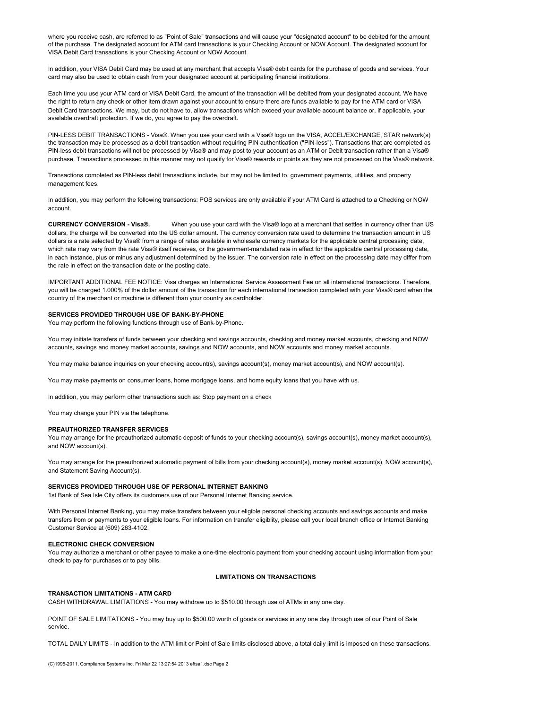where you receive cash, are referred to as "Point of Sale" transactions and will cause your "designated account" to be debited for the amount of the purchase. The designated account for ATM card transactions is your Checking Account or NOW Account. The designated account for VISA Debit Card transactions is your Checking Account or NOW Account.

In addition, your VISA Debit Card may be used at any merchant that accepts Visa® debit cards for the purchase of goods and services. Your card may also be used to obtain cash from your designated account at participating financial institutions.

Each time you use your ATM card or VISA Debit Card, the amount of the transaction will be debited from your designated account. We have the right to return any check or other item drawn against your account to ensure there are funds available to pay for the ATM card or VISA Debit Card transactions. We may, but do not have to, allow transactions which exceed your available account balance or, if applicable, your available overdraft protection. If we do, you agree to pay the overdraft.

PIN-LESS DEBIT TRANSACTIONS - Visa®. When you use your card with a Visa® logo on the VISA, ACCEL/EXCHANGE, STAR network(s) the transaction may be processed as a debit transaction without requiring PIN authentication ("PIN-less"). Transactions that are completed as PIN-less debit transactions will not be processed by Visa® and may post to your account as an ATM or Debit transaction rather than a Visa® purchase. Transactions processed in this manner may not qualify for Visa® rewards or points as they are not processed on the Visa® network.

Transactions completed as PIN-less debit transactions include, but may not be limited to, government payments, utilities, and property management fees.

In addition, you may perform the following transactions: POS services are only available if your ATM Card is attached to a Checking or NOW account.

**CURRENCY CONVERSION - Visa®.** When you use your card with the Visa® logo at a merchant that settles in currency other than US dollars, the charge will be converted into the US dollar amount. The currency conversion rate used to determine the transaction amount in US dollars is a rate selected by Visa® from a range of rates available in wholesale currency markets for the applicable central processing date, which rate may vary from the rate Visa® itself receives, or the government-mandated rate in effect for the applicable central processing date, in each instance, plus or minus any adjustment determined by the issuer. The conversion rate in effect on the processing date may differ from the rate in effect on the transaction date or the posting date.

IMPORTANT ADDITIONAL FEE NOTICE: Visa charges an International Service Assessment Fee on all international transactions. Therefore, you will be charged 1.000% of the dollar amount of the transaction for each international transaction completed with your Visa® card when the country of the merchant or machine is different than your country as cardholder.

#### **SERVICES PROVIDED THROUGH USE OF BANK-BY-PHONE**

You may perform the following functions through use of Bank-by-Phone.

You may initiate transfers of funds between your checking and savings accounts, checking and money market accounts, checking and NOW accounts, savings and money market accounts, savings and NOW accounts, and NOW accounts and money market accounts.

You may make balance inquiries on your checking account(s), savings account(s), money market account(s), and NOW account(s).

You may make payments on consumer loans, home mortgage loans, and home equity loans that you have with us.

In addition, you may perform other transactions such as: Stop payment on a check

You may change your PIN via the telephone.

#### **PREAUTHORIZED TRANSFER SERVICES**

You may arrange for the preauthorized automatic deposit of funds to your checking account(s), savings account(s), money market account(s), and NOW account(s).

You may arrange for the preauthorized automatic payment of bills from your checking account(s), money market account(s), NOW account(s), and Statement Saving Account(s).

# **SERVICES PROVIDED THROUGH USE OF PERSONAL INTERNET BANKING**

1st Bank of Sea Isle City offers its customers use of our Personal Internet Banking service.

With Personal Internet Banking, you may make transfers between your eligible personal checking accounts and savings accounts and make transfers from or payments to your eligible loans. For information on transfer eligiblity, please call your local branch office or Internet Banking Customer Service at (609) 263-4102.

#### **ELECTRONIC CHECK CONVERSION**

You may authorize a merchant or other payee to make a one-time electronic payment from your checking account using information from your check to pay for purchases or to pay bills.

# **LIMITATIONS ON TRANSACTIONS**

# **TRANSACTION LIMITATIONS - ATM CARD**

CASH WITHDRAWAL LIMITATIONS - You may withdraw up to \$510.00 through use of ATMs in any one day.

POINT OF SALE LIMITATIONS - You may buy up to \$500.00 worth of goods or services in any one day through use of our Point of Sale service.

TOTAL DAILY LIMITS - In addition to the ATM limit or Point of Sale limits disclosed above, a total daily limit is imposed on these transactions.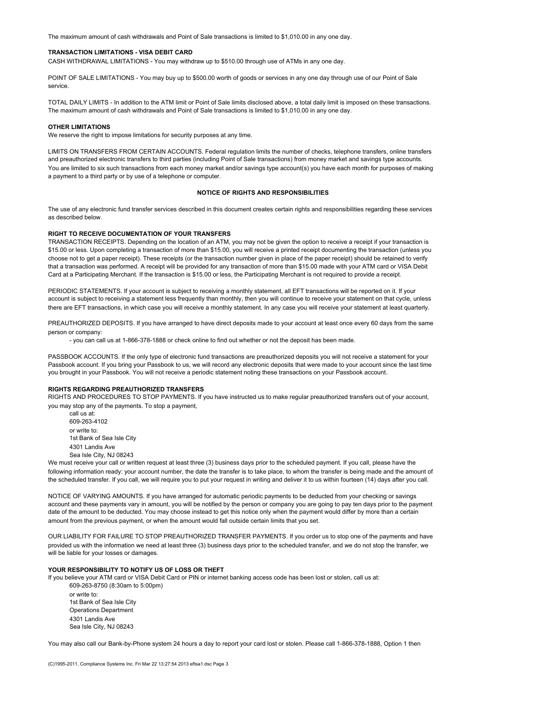The maximum amount of cash withdrawals and Point of Sale transactions is limited to \$1,010.00 in any one day.

## **TRANSACTION LIMITATIONS - VISA DEBIT CARD**

CASH WITHDRAWAL LIMITATIONS - You may withdraw up to \$510.00 through use of ATMs in any one day.

POINT OF SALE LIMITATIONS - You may buy up to \$500.00 worth of goods or services in any one day through use of our Point of Sale service.

TOTAL DAILY LIMITS - In addition to the ATM limit or Point of Sale limits disclosed above, a total daily limit is imposed on these transactions. The maximum amount of cash withdrawals and Point of Sale transactions is limited to \$1,010.00 in any one day.

#### **OTHER LIMITATIONS**

We reserve the right to impose limitations for security purposes at any time.

LIMITS ON TRANSFERS FROM CERTAIN ACCOUNTS. Federal regulation limits the number of checks, telephone transfers, online transfers and preauthorized electronic transfers to third parties (including Point of Sale transactions) from money market and savings type accounts. You are limited to six such transactions from each money market and/or savings type account(s) you have each month for purposes of making a payment to a third party or by use of a telephone or computer.

# **NOTICE OF RIGHTS AND RESPONSIBILITIES**

The use of any electronic fund transfer services described in this document creates certain rights and responsibilities regarding these services as described below.

# **RIGHT TO RECEIVE DOCUMENTATION OF YOUR TRANSFERS**

TRANSACTION RECEIPTS. Depending on the location of an ATM, you may not be given the option to receive a receipt if your transaction is \$15.00 or less. Upon completing a transaction of more than \$15.00, you will receive a printed receipt documenting the transaction (unless you choose not to get a paper receipt). These receipts (or the transaction number given in place of the paper receipt) should be retained to verify that a transaction was performed. A receipt will be provided for any transaction of more than \$15.00 made with your ATM card or VISA Debit Card at a Participating Merchant. If the transaction is \$15.00 or less, the Participating Merchant is not required to provide a receipt.

PERIODIC STATEMENTS. If your account is subject to receiving a monthly statement, all EFT transactions will be reported on it. If your account is subject to receiving a statement less frequently than monthly, then you will continue to receive your statement on that cycle, unless there are EFT transactions, in which case you will receive a monthly statement. In any case you will receive your statement at least quarterly.

PREAUTHORIZED DEPOSITS. If you have arranged to have direct deposits made to your account at least once every 60 days from the same person or company:

- you can call us at 1-866-378-1888 or check online to find out whether or not the deposit has been made.

PASSBOOK ACCOUNTS. If the only type of electronic fund transactions are preauthorized deposits you will not receive a statement for your Passbook account. If you bring your Passbook to us, we will record any electronic deposits that were made to your account since the last time you brought in your Passbook. You will not receive a periodic statement noting these transactions on your Passbook account.

# **RIGHTS REGARDING PREAUTHORIZED TRANSFERS**

RIGHTS AND PROCEDURES TO STOP PAYMENTS. If you have instructed us to make regular preauthorized transfers out of your account, you may stop any of the payments. To stop a payment,

call us at: 609-263-4102 or write to: 1st Bank of Sea Isle City 4301 Landis Ave Sea Isle City, NJ 08243

We must receive your call or written request at least three (3) business days prior to the scheduled payment. If you call, please have the following information ready: your account number, the date the transfer is to take place, to whom the transfer is being made and the amount of the scheduled transfer. If you call, we will require you to put your request in writing and deliver it to us within fourteen (14) days after you call.

NOTICE OF VARYING AMOUNTS. If you have arranged for automatic periodic payments to be deducted from your checking or savings account and these payments vary in amount, you will be notified by the person or company you are going to pay ten days prior to the payment date of the amount to be deducted. You may choose instead to get this notice only when the payment would differ by more than a certain amount from the previous payment, or when the amount would fall outside certain limits that you set.

OUR LIABILITY FOR FAILURE TO STOP PREAUTHORIZED TRANSFER PAYMENTS. If you order us to stop one of the payments and have provided us with the information we need at least three (3) business days prior to the scheduled transfer, and we do not stop the transfer, we will be liable for your losses or damages.

# **YOUR RESPONSIBILITY TO NOTIFY US OF LOSS OR THEFT**

If you believe your ATM card or VISA Debit Card or PIN or internet banking access code has been lost or stolen, call us at: 609-263-8750 (8:30am to 5:00pm)

or write to: 1st Bank of Sea Isle City Operations Department 4301 Landis Ave Sea Isle City, NJ 08243

You may also call our Bank-by-Phone system 24 hours a day to report your card lost or stolen. Please call 1-866-378-1888, Option 1 then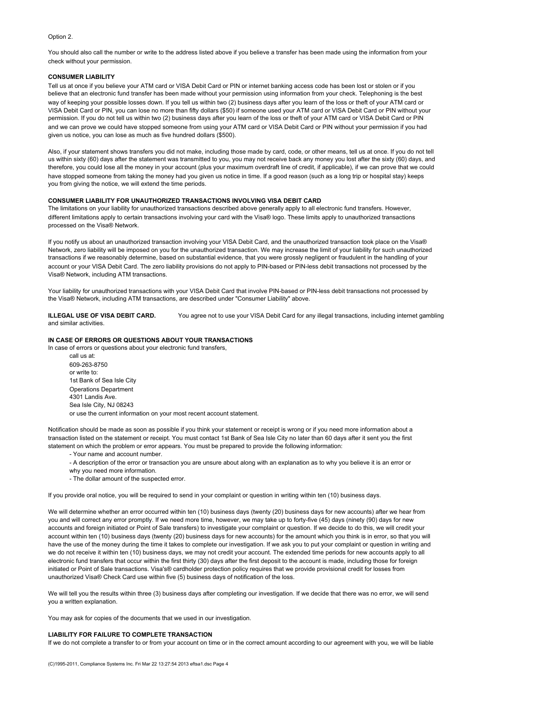# Option 2.

You should also call the number or write to the address listed above if you believe a transfer has been made using the information from your check without your permission.

#### **CONSUMER LIABILITY**

Tell us at once if you believe your ATM card or VISA Debit Card or PIN or internet banking access code has been lost or stolen or if you believe that an electronic fund transfer has been made without your permission using information from your check. Telephoning is the best way of keeping your possible losses down. If you tell us within two (2) business days after you learn of the loss or theft of your ATM card or VISA Debit Card or PIN, you can lose no more than fifty dollars (\$50) if someone used your ATM card or VISA Debit Card or PIN without your permission. If you do not tell us within two (2) business days after you learn of the loss or theft of your ATM card or VISA Debit Card or PIN and we can prove we could have stopped someone from using your ATM card or VISA Debit Card or PIN without your permission if you had given us notice, you can lose as much as five hundred dollars (\$500).

Also, if your statement shows transfers you did not make, including those made by card, code, or other means, tell us at once. If you do not tell us within sixty (60) days after the statement was transmitted to you, you may not receive back any money you lost after the sixty (60) days, and therefore, you could lose all the money in your account (plus your maximum overdraft line of credit, if applicable), if we can prove that we could have stopped someone from taking the money had you given us notice in time. If a good reason (such as a long trip or hospital stay) keeps you from giving the notice, we will extend the time periods.

# **CONSUMER LIABILITY FOR UNAUTHORIZED TRANSACTIONS INVOLVING VISA DEBIT CARD**

The limitations on your liability for unauthorized transactions described above generally apply to all electronic fund transfers. However, different limitations apply to certain transactions involving your card with the Visa® logo. These limits apply to unauthorized transactions processed on the Visa® Network.

If you notify us about an unauthorized transaction involving your VISA Debit Card, and the unauthorized transaction took place on the Visa® Network, zero liability will be imposed on you for the unauthorized transaction. We may increase the limit of your liability for such unauthorized transactions if we reasonably determine, based on substantial evidence, that you were grossly negligent or fraudulent in the handling of your account or your VISA Debit Card. The zero liability provisions do not apply to PIN-based or PIN-less debit transactions not processed by the Visa® Network, including ATM transactions.

Your liability for unauthorized transactions with your VISA Debit Card that involve PIN-based or PIN-less debit transactions not processed by the Visa® Network, including ATM transactions, are described under "Consumer Liability" above.

**ILLEGAL USE OF VISA DEBIT CARD.** You agree not to use your VISA Debit Card for any illegal transactions, including internet gambling and similar activities.

# **IN CASE OF ERRORS OR QUESTIONS ABOUT YOUR TRANSACTIONS**

In case of errors or questions about your electronic fund transfers, call us at:

609-263-8750 or write to: 1st Bank of Sea Isle City Operations Department 4301 Landis Ave. Sea Isle City, NJ 08243 or use the current information on your most recent account statement.

Notification should be made as soon as possible if you think your statement or receipt is wrong or if you need more information about a transaction listed on the statement or receipt. You must contact 1st Bank of Sea Isle City no later than 60 days after it sent you the first statement on which the problem or error appears. You must be prepared to provide the following information:

- Your name and account number.
- A description of the error or transaction you are unsure about along with an explanation as to why you believe it is an error or
- why you need more information.
- The dollar amount of the suspected error.

If you provide oral notice, you will be required to send in your complaint or question in writing within ten (10) business days.

We will determine whether an error occurred within ten (10) business days (twenty (20) business days for new accounts) after we hear from you and will correct any error promptly. If we need more time, however, we may take up to forty-five (45) days (ninety (90) days for new accounts and foreign initiated or Point of Sale transfers) to investigate your complaint or question. If we decide to do this, we will credit your account within ten (10) business days (twenty (20) business days for new accounts) for the amount which you think is in error, so that you will have the use of the money during the time it takes to complete our investigation. If we ask you to put your complaint or question in writing and we do not receive it within ten (10) business days, we may not credit your account. The extended time periods for new accounts apply to all electronic fund transfers that occur within the first thirty (30) days after the first deposit to the account is made, including those for foreign initiated or Point of Sale transactions. Visa's® cardholder protection policy requires that we provide provisional credit for losses from unauthorized Visa® Check Card use within five (5) business days of notification of the loss.

We will tell you the results within three (3) business days after completing our investigation. If we decide that there was no error, we will send you a written explanation.

You may ask for copies of the documents that we used in our investigation.

#### **LIABILITY FOR FAILURE TO COMPLETE TRANSACTION**

If we do not complete a transfer to or from your account on time or in the correct amount according to our agreement with you, we will be liable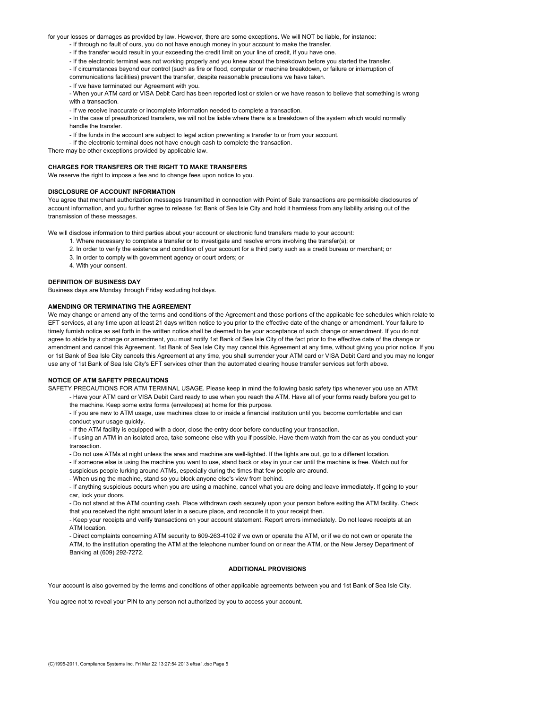for your losses or damages as provided by law. However, there are some exceptions. We will NOT be liable, for instance:

- If through no fault of ours, you do not have enough money in your account to make the transfer.
- If the transfer would result in your exceeding the credit limit on your line of credit, if you have one.
- If the electronic terminal was not working properly and you knew about the breakdown before you started the transfer.
- If circumstances beyond our control (such as fire or flood, computer or machine breakdown, or failure or interruption of
- communications facilities) prevent the transfer, despite reasonable precautions we have taken.
- If we have terminated our Agreement with you.
- When your ATM card or VISA Debit Card has been reported lost or stolen or we have reason to believe that something is wrong with a transaction.
- If we receive inaccurate or incomplete information needed to complete a transaction.
- In the case of preauthorized transfers, we will not be liable where there is a breakdown of the system which would normally handle the transfer.
- If the funds in the account are subject to legal action preventing a transfer to or from your account.
- If the electronic terminal does not have enough cash to complete the transaction.

There may be other exceptions provided by applicable law.

# **CHARGES FOR TRANSFERS OR THE RIGHT TO MAKE TRANSFERS**

We reserve the right to impose a fee and to change fees upon notice to you.

# **DISCLOSURE OF ACCOUNT INFORMATION**

You agree that merchant authorization messages transmitted in connection with Point of Sale transactions are permissible disclosures of account information, and you further agree to release 1st Bank of Sea Isle City and hold it harmless from any liability arising out of the transmission of these messages.

We will disclose information to third parties about your account or electronic fund transfers made to your account:

- 1. Where necessary to complete a transfer or to investigate and resolve errors involving the transfer(s); or
- 2. In order to verify the existence and condition of your account for a third party such as a credit bureau or merchant; or
- 3. In order to comply with government agency or court orders; or
- 4. With your consent.

#### **DEFINITION OF BUSINESS DAY**

Business days are Monday through Friday excluding holidays.

#### **AMENDING OR TERMINATING THE AGREEMENT**

We may change or amend any of the terms and conditions of the Agreement and those portions of the applicable fee schedules which relate to EFT services, at any time upon at least 21 days written notice to you prior to the effective date of the change or amendment. Your failure to timely furnish notice as set forth in the written notice shall be deemed to be your acceptance of such change or amendment. If you do not agree to abide by a change or amendment, you must notify 1st Bank of Sea Isle City of the fact prior to the effective date of the change or amendment and cancel this Agreement. 1st Bank of Sea Isle City may cancel this Agreement at any time, without giving you prior notice. If you or 1st Bank of Sea Isle City cancels this Agreement at any time, you shall surrender your ATM card or VISA Debit Card and you may no longer use any of 1st Bank of Sea Isle City's EFT services other than the automated clearing house transfer services set forth above.

# **NOTICE OF ATM SAFETY PRECAUTIONS**

SAFETY PRECAUTIONS FOR ATM TERMINAL USAGE. Please keep in mind the following basic safety tips whenever you use an ATM:

- Have your ATM card or VISA Debit Card ready to use when you reach the ATM. Have all of your forms ready before you get to the machine. Keep some extra forms (envelopes) at home for this purpose.
- If you are new to ATM usage, use machines close to or inside a financial institution until you become comfortable and can conduct your usage quickly.

- If the ATM facility is equipped with a door, close the entry door before conducting your transaction.

- If using an ATM in an isolated area, take someone else with you if possible. Have them watch from the car as you conduct your transaction.

- Do not use ATMs at night unless the area and machine are well-lighted. If the lights are out, go to a different location.

- If someone else is using the machine you want to use, stand back or stay in your car until the machine is free. Watch out for
- suspicious people lurking around ATMs, especially during the times that few people are around.
- When using the machine, stand so you block anyone else's view from behind.

- If anything suspicious occurs when you are using a machine, cancel what you are doing and leave immediately. If going to your car, lock your doors.

- Do not stand at the ATM counting cash. Place withdrawn cash securely upon your person before exiting the ATM facility. Check that you received the right amount later in a secure place, and reconcile it to your receipt then.

- Keep your receipts and verify transactions on your account statement. Report errors immediately. Do not leave receipts at an ATM location.

- Direct complaints concerning ATM security to 609-263-4102 if we own or operate the ATM, or if we do not own or operate the ATM, to the institution operating the ATM at the telephone number found on or near the ATM, or the New Jersey Department of Banking at (609) 292-7272.

#### **ADDITIONAL PROVISIONS**

Your account is also governed by the terms and conditions of other applicable agreements between you and 1st Bank of Sea Isle City.

You agree not to reveal your PIN to any person not authorized by you to access your account.